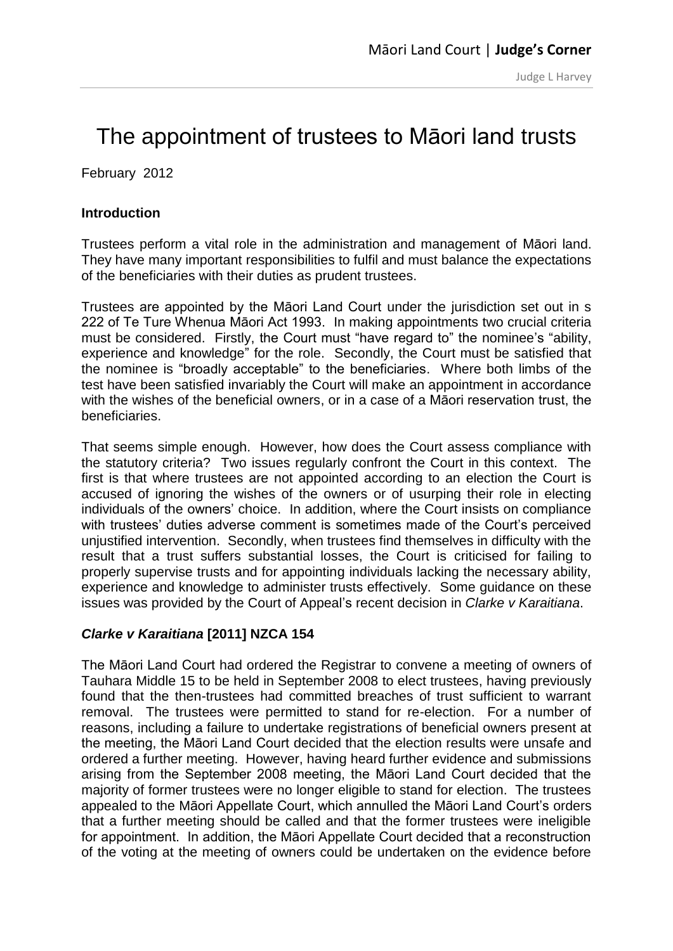# [The appointment of trustees to Māori land trusts](http://justedit.justice.govt.nz/courts/maori-land-court/judges-corner-1/judges-corner-previous-articles/documents/judges-corner/Judge%20Harvey%20Feb%202012.pdf)

February 2012

### **Introduction**

Trustees perform a vital role in the administration and management of Māori land. They have many important responsibilities to fulfil and must balance the expectations of the beneficiaries with their duties as prudent trustees.

Trustees are appointed by the Māori Land Court under the jurisdiction set out in s 222 of Te Ture Whenua Māori Act 1993. In making appointments two crucial criteria must be considered. Firstly, the Court must "have regard to" the nominee's "ability, experience and knowledge" for the role. Secondly, the Court must be satisfied that the nominee is "broadly acceptable" to the beneficiaries. Where both limbs of the test have been satisfied invariably the Court will make an appointment in accordance with the wishes of the beneficial owners, or in a case of a Māori reservation trust, the beneficiaries.

That seems simple enough. However, how does the Court assess compliance with the statutory criteria? Two issues regularly confront the Court in this context. The first is that where trustees are not appointed according to an election the Court is accused of ignoring the wishes of the owners or of usurping their role in electing individuals of the owners' choice. In addition, where the Court insists on compliance with trustees' duties adverse comment is sometimes made of the Court's perceived unjustified intervention. Secondly, when trustees find themselves in difficulty with the result that a trust suffers substantial losses, the Court is criticised for failing to properly supervise trusts and for appointing individuals lacking the necessary ability, experience and knowledge to administer trusts effectively. Some guidance on these issues was provided by the Court of Appeal's recent decision in *Clarke v Karaitiana*.

## *Clarke v Karaitiana* **[2011] NZCA 154**

The Māori Land Court had ordered the Registrar to convene a meeting of owners of Tauhara Middle 15 to be held in September 2008 to elect trustees, having previously found that the then-trustees had committed breaches of trust sufficient to warrant removal. The trustees were permitted to stand for re-election. For a number of reasons, including a failure to undertake registrations of beneficial owners present at the meeting, the Māori Land Court decided that the election results were unsafe and ordered a further meeting. However, having heard further evidence and submissions arising from the September 2008 meeting, the Māori Land Court decided that the majority of former trustees were no longer eligible to stand for election. The trustees appealed to the Māori Appellate Court, which annulled the Māori Land Court's orders that a further meeting should be called and that the former trustees were ineligible for appointment. In addition, the Māori Appellate Court decided that a reconstruction of the voting at the meeting of owners could be undertaken on the evidence before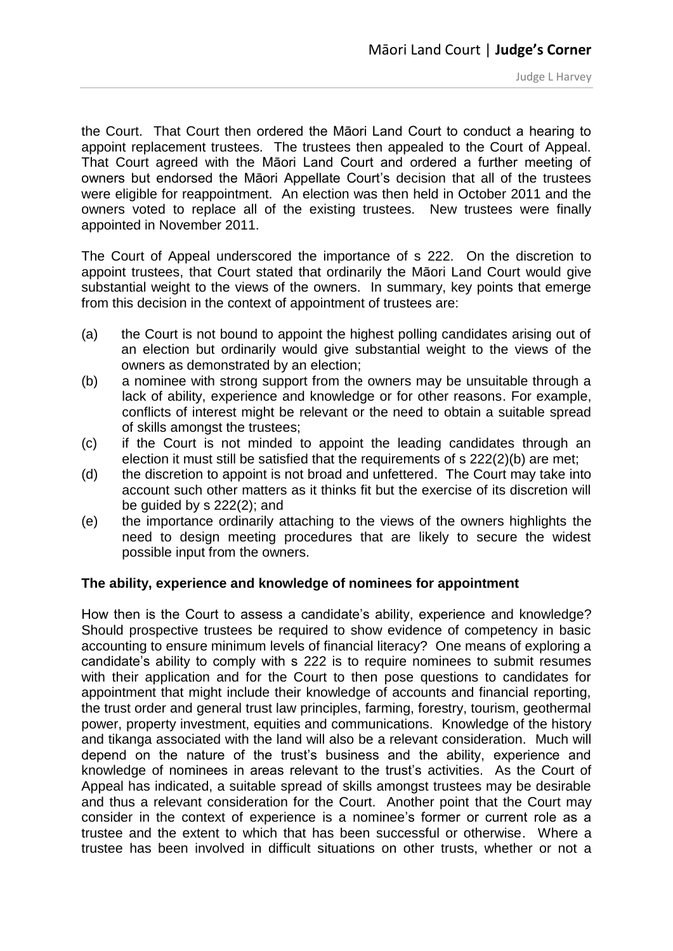the Court. That Court then ordered the Māori Land Court to conduct a hearing to appoint replacement trustees. The trustees then appealed to the Court of Appeal. That Court agreed with the Māori Land Court and ordered a further meeting of owners but endorsed the Māori Appellate Court's decision that all of the trustees were eligible for reappointment. An election was then held in October 2011 and the owners voted to replace all of the existing trustees. New trustees were finally appointed in November 2011.

The Court of Appeal underscored the importance of s 222. On the discretion to appoint trustees, that Court stated that ordinarily the Māori Land Court would give substantial weight to the views of the owners. In summary, key points that emerge from this decision in the context of appointment of trustees are:

- (a) the Court is not bound to appoint the highest polling candidates arising out of an election but ordinarily would give substantial weight to the views of the owners as demonstrated by an election;
- (b) a nominee with strong support from the owners may be unsuitable through a lack of ability, experience and knowledge or for other reasons. For example, conflicts of interest might be relevant or the need to obtain a suitable spread of skills amongst the trustees;
- (c) if the Court is not minded to appoint the leading candidates through an election it must still be satisfied that the requirements of s 222(2)(b) are met;
- (d) the discretion to appoint is not broad and unfettered. The Court may take into account such other matters as it thinks fit but the exercise of its discretion will be guided by s 222(2); and
- (e) the importance ordinarily attaching to the views of the owners highlights the need to design meeting procedures that are likely to secure the widest possible input from the owners.

#### **The ability, experience and knowledge of nominees for appointment**

How then is the Court to assess a candidate's ability, experience and knowledge? Should prospective trustees be required to show evidence of competency in basic accounting to ensure minimum levels of financial literacy? One means of exploring a candidate's ability to comply with s 222 is to require nominees to submit resumes with their application and for the Court to then pose questions to candidates for appointment that might include their knowledge of accounts and financial reporting, the trust order and general trust law principles, farming, forestry, tourism, geothermal power, property investment, equities and communications. Knowledge of the history and tikanga associated with the land will also be a relevant consideration. Much will depend on the nature of the trust's business and the ability, experience and knowledge of nominees in areas relevant to the trust's activities. As the Court of Appeal has indicated, a suitable spread of skills amongst trustees may be desirable and thus a relevant consideration for the Court. Another point that the Court may consider in the context of experience is a nominee's former or current role as a trustee and the extent to which that has been successful or otherwise. Where a trustee has been involved in difficult situations on other trusts, whether or not a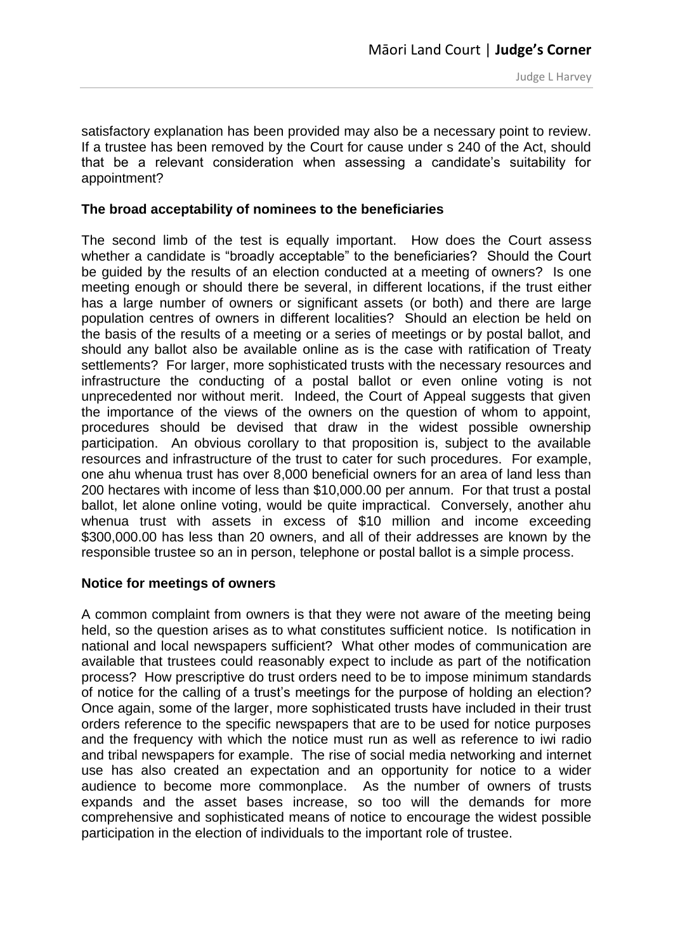satisfactory explanation has been provided may also be a necessary point to review. If a trustee has been removed by the Court for cause under s 240 of the Act, should that be a relevant consideration when assessing a candidate's suitability for appointment?

#### **The broad acceptability of nominees to the beneficiaries**

The second limb of the test is equally important. How does the Court assess whether a candidate is "broadly acceptable" to the beneficiaries? Should the Court be guided by the results of an election conducted at a meeting of owners? Is one meeting enough or should there be several, in different locations, if the trust either has a large number of owners or significant assets (or both) and there are large population centres of owners in different localities? Should an election be held on the basis of the results of a meeting or a series of meetings or by postal ballot, and should any ballot also be available online as is the case with ratification of Treaty settlements? For larger, more sophisticated trusts with the necessary resources and infrastructure the conducting of a postal ballot or even online voting is not unprecedented nor without merit. Indeed, the Court of Appeal suggests that given the importance of the views of the owners on the question of whom to appoint, procedures should be devised that draw in the widest possible ownership participation. An obvious corollary to that proposition is, subject to the available resources and infrastructure of the trust to cater for such procedures. For example, one ahu whenua trust has over 8,000 beneficial owners for an area of land less than 200 hectares with income of less than \$10,000.00 per annum. For that trust a postal ballot, let alone online voting, would be quite impractical. Conversely, another ahu whenua trust with assets in excess of \$10 million and income exceeding \$300,000.00 has less than 20 owners, and all of their addresses are known by the responsible trustee so an in person, telephone or postal ballot is a simple process.

#### **Notice for meetings of owners**

A common complaint from owners is that they were not aware of the meeting being held, so the question arises as to what constitutes sufficient notice. Is notification in national and local newspapers sufficient? What other modes of communication are available that trustees could reasonably expect to include as part of the notification process? How prescriptive do trust orders need to be to impose minimum standards of notice for the calling of a trust's meetings for the purpose of holding an election? Once again, some of the larger, more sophisticated trusts have included in their trust orders reference to the specific newspapers that are to be used for notice purposes and the frequency with which the notice must run as well as reference to iwi radio and tribal newspapers for example. The rise of social media networking and internet use has also created an expectation and an opportunity for notice to a wider audience to become more commonplace. As the number of owners of trusts expands and the asset bases increase, so too will the demands for more comprehensive and sophisticated means of notice to encourage the widest possible participation in the election of individuals to the important role of trustee.